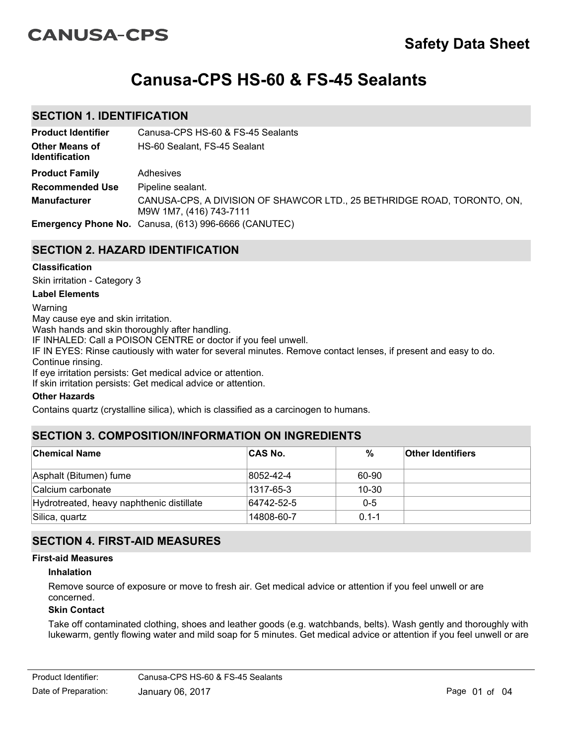# **CANUSA-CPS**

# **Canusa-CPS HS-60 & FS-45 Sealants**

# **SECTION 1. IDENTIFICATION**

| <b>Product Identifier</b>                      | Canusa-CPS HS-60 & FS-45 Sealants                                                                  |
|------------------------------------------------|----------------------------------------------------------------------------------------------------|
| <b>Other Means of</b><br><b>Identification</b> | HS-60 Sealant, FS-45 Sealant                                                                       |
| <b>Product Family</b>                          | Adhesives                                                                                          |
| <b>Recommended Use</b>                         | Pipeline sealant.                                                                                  |
| <b>Manufacturer</b>                            | CANUSA-CPS, A DIVISION OF SHAWCOR LTD., 25 BETHRIDGE ROAD, TORONTO, ON,<br>M9W 1M7, (416) 743-7111 |
|                                                | <b>Emergency Phone No.</b> Canusa, (613) 996-6666 (CANUTEC)                                        |

# **SECTION 2. HAZARD IDENTIFICATION**

#### **Classification**

Skin irritation - Category 3

#### **Label Elements**

Warning May cause eye and skin irritation. Wash hands and skin thoroughly after handling. IF INHALED: Call a POISON CENTRE or doctor if you feel unwell. IF IN EYES: Rinse cautiously with water for several minutes. Remove contact lenses, if present and easy to do. Continue rinsing. If eye irritation persists: Get medical advice or attention. If skin irritation persists: Get medical advice or attention.

## **Other Hazards**

Contains quartz (crystalline silica), which is classified as a carcinogen to humans.

# **SECTION 3. COMPOSITION/INFORMATION ON INGREDIENTS**

| <b>Chemical Name</b>                      | <b>CAS No.</b> | %         | <b>Other Identifiers</b> |
|-------------------------------------------|----------------|-----------|--------------------------|
| Asphalt (Bitumen) fume                    | 8052-42-4      | 60-90     |                          |
| Calcium carbonate                         | 1317-65-3      | $10 - 30$ |                          |
| Hydrotreated, heavy naphthenic distillate | 64742-52-5     | $0 - 5$   |                          |
| Silica, quartz                            | 14808-60-7     | $0.1 - 1$ |                          |

# **SECTION 4. FIRST-AID MEASURES**

## **First-aid Measures**

#### **Inhalation**

Remove source of exposure or move to fresh air. Get medical advice or attention if you feel unwell or are concerned.

### **Skin Contact**

Take off contaminated clothing, shoes and leather goods (e.g. watchbands, belts). Wash gently and thoroughly with lukewarm, gently flowing water and mild soap for 5 minutes. Get medical advice or attention if you feel unwell or are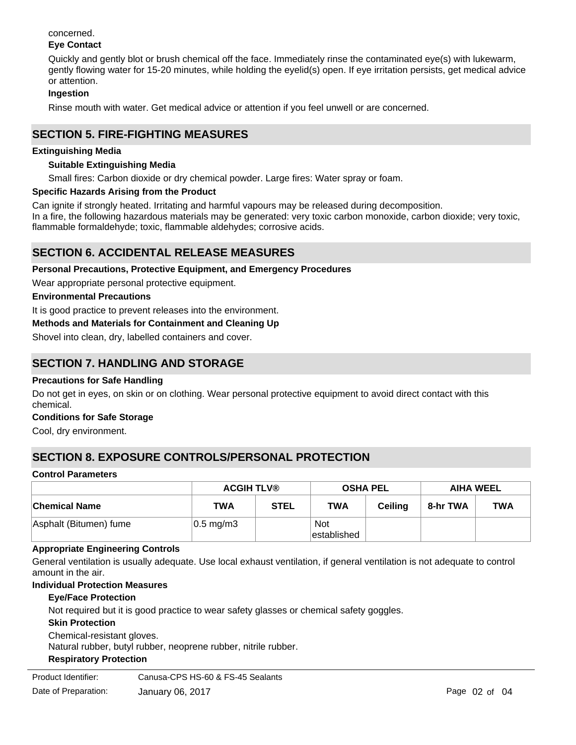#### concerned. **Eye Contact**

Quickly and gently blot or brush chemical off the face. Immediately rinse the contaminated eye(s) with lukewarm, gently flowing water for 15-20 minutes, while holding the eyelid(s) open. If eye irritation persists, get medical advice or attention.

## **Ingestion**

Rinse mouth with water. Get medical advice or attention if you feel unwell or are concerned.

# **SECTION 5. FIRE-FIGHTING MEASURES**

## **Extinguishing Media**

## **Suitable Extinguishing Media**

Small fires: Carbon dioxide or dry chemical powder. Large fires: Water spray or foam.

### **Specific Hazards Arising from the Product**

Can ignite if strongly heated. Irritating and harmful vapours may be released during decomposition. In a fire, the following hazardous materials may be generated: very toxic carbon monoxide, carbon dioxide; very toxic, flammable formaldehyde; toxic, flammable aldehydes; corrosive acids.

# **SECTION 6. ACCIDENTAL RELEASE MEASURES**

**Personal Precautions, Protective Equipment, and Emergency Procedures**

Wear appropriate personal protective equipment.

### **Environmental Precautions**

It is good practice to prevent releases into the environment.

**Methods and Materials for Containment and Cleaning Up**

Shovel into clean, dry, labelled containers and cover.

# **SECTION 7. HANDLING AND STORAGE**

#### **Precautions for Safe Handling**

Do not get in eyes, on skin or on clothing. Wear personal protective equipment to avoid direct contact with this chemical.

#### **Conditions for Safe Storage**

Cool, dry environment.

# **SECTION 8. EXPOSURE CONTROLS/PERSONAL PROTECTION**

#### **Control Parameters**

|                        | <b>ACGIH TLV®</b>     |             | <b>OSHA PEL</b>           |                | <b>AIHA WEEL</b> |            |
|------------------------|-----------------------|-------------|---------------------------|----------------|------------------|------------|
| <b>Chemical Name</b>   | TWA                   | <b>STEL</b> | <b>TWA</b>                | <b>Ceiling</b> | 8-hr TWA         | <b>TWA</b> |
| Asphalt (Bitumen) fume | $ 0.5 \text{ mg/m}$ 3 |             | <b>Not</b><br>established |                |                  |            |

#### **Appropriate Engineering Controls**

General ventilation is usually adequate. Use local exhaust ventilation, if general ventilation is not adequate to control amount in the air.

## **Individual Protection Measures**

#### **Eye/Face Protection**

Not required but it is good practice to wear safety glasses or chemical safety goggles.

#### **Skin Protection**

Chemical-resistant gloves. Natural rubber, butyl rubber, neoprene rubber, nitrile rubber.

## **Respiratory Protection**

Product Identifier: Canusa-CPS HS-60 & FS-45 Sealants: wear a NIOSH Sear a NIOSH Sealants: wear a NIOSH Sealants: wear a NIOSH Sealants: wear a NIOSH Sealants: wear a NIOSH Sealants: wear a NIOSH Sealants: wear a NIOSH Sea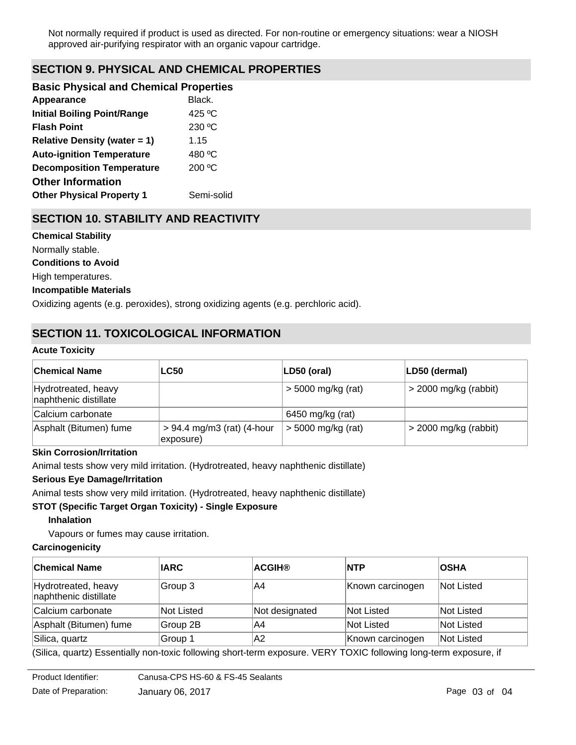Not normally required if product is used as directed. For non-routine or emergency situations: wear a NIOSH approved air-purifying respirator with an organic vapour cartridge.

# **SECTION 9. PHYSICAL AND CHEMICAL PROPERTIES**

| <b>Basic Physical and Chemical Properties</b> |                  |
|-----------------------------------------------|------------------|
| Appearance                                    | Black.           |
| <b>Initial Boiling Point/Range</b>            | 425 °C           |
| <b>Flash Point</b>                            | 230 °C           |
| <b>Relative Density (water = 1)</b>           | 1.15             |
| <b>Auto-ignition Temperature</b>              | 480 °C           |
| <b>Decomposition Temperature</b>              | $200 \text{ °C}$ |
| <b>Other Information</b>                      |                  |
| <b>Other Physical Property 1</b>              | Semi-solid       |
|                                               |                  |

# **SECTION 10. STABILITY AND REACTIVITY**

**Chemical Stability** Normally stable. **Conditions to Avoid** High temperatures.

## **Incompatible Materials**

Oxidizing agents (e.g. peroxides), strong oxidizing agents (e.g. perchloric acid).

# **SECTION 11. TOXICOLOGICAL INFORMATION**

#### **Acute Toxicity**

| ∣Chemical Name                               | <b>LC50</b>                               | LD50 (oral)          | LD50 (dermal)           |
|----------------------------------------------|-------------------------------------------|----------------------|-------------------------|
| Hydrotreated, heavy<br>naphthenic distillate |                                           | $>$ 5000 mg/kg (rat) | $>$ 2000 mg/kg (rabbit) |
| Calcium carbonate                            |                                           | 6450 mg/kg (rat)     |                         |
| Asphalt (Bitumen) fume                       | $> 94.4$ mg/m3 (rat) (4-hour<br>exposure) | $>$ 5000 mg/kg (rat) | $>$ 2000 mg/kg (rabbit) |

## **Skin Corrosion/Irritation**

Animal tests show very mild irritation. (Hydrotreated, heavy naphthenic distillate)

## **Serious Eye Damage/Irritation**

Animal tests show very mild irritation. (Hydrotreated, heavy naphthenic distillate)

#### **STOT (Specific Target Organ Toxicity) - Single Exposure**

**Inhalation**

Vapours or fumes may cause irritation.

#### **Carcinogenicity**

| <b>Chemical Name</b>                         | <b>IARC</b> | <b>ACGIH®</b>  | <b>NTP</b>       | <b>OSHA</b> |
|----------------------------------------------|-------------|----------------|------------------|-------------|
| Hydrotreated, heavy<br>naphthenic distillate | Group 3     | A4             | Known carcinogen | Not Listed  |
| Calcium carbonate                            | Not Listed  | Not designated | Not Listed       | Not Listed  |
| Asphalt (Bitumen) fume                       | Group 2B    | A4             | Not Listed       | Not Listed  |
| Silica, quartz                               | Group 1     | A2             | Known carcinogen | Not Listed  |

(Silica, quartz) Essentially non-toxic following short-term exposure. VERY TOXIC following long-term exposure, if